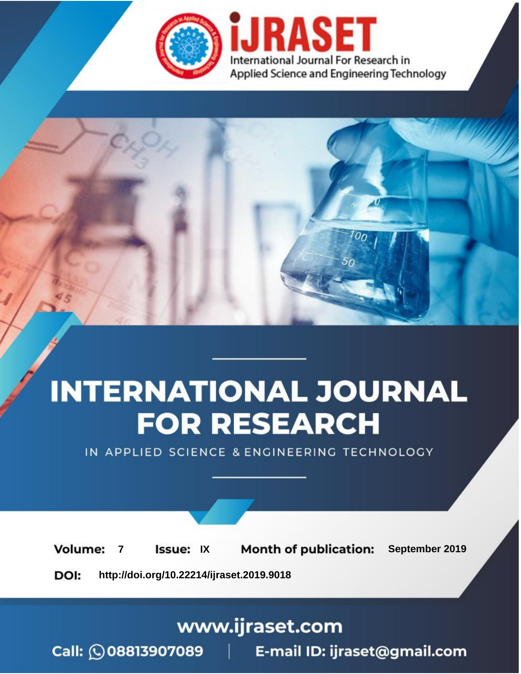

# **INTERNATIONAL JOURNAL FOR RESEARCH**

IN APPLIED SCIENCE & ENGINEERING TECHNOLOGY

**Month of publication: Volume: Issue: IX** September 2019  $\overline{7}$ DOI: http://doi.org/10.22214/ijraset.2019.9018

www.ijraset.com

 $Call: \bigcirc$ 08813907089 E-mail ID: ijraset@gmail.com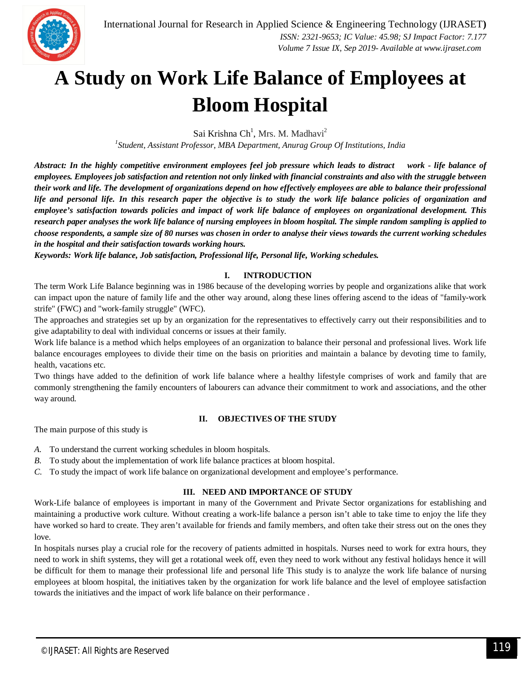

### **A Study on Work Life Balance of Employees at Bloom Hospital**

Sai Krishna Ch<sup>1</sup>, Mrs. M. Madhavi<sup>2</sup>

*1 Student, Assistant Professor, MBA Department, Anurag Group Of Institutions, India*

*Abstract: In the highly competitive environment employees feel job pressure which leads to distract work - life balance of employees. Employees job satisfaction and retention not only linked with financial constraints and also with the struggle between their work and life. The development of organizations depend on how effectively employees are able to balance their professional life and personal life. In this research paper the objective is to study the work life balance policies of organization and employee's satisfaction towards policies and impact of work life balance of employees on organizational development. This research paper analyses the work life balance of nursing employees in bloom hospital. The simple random sampling is applied to choose respondents, a sample size of 80 nurses was chosen in order to analyse their views towards the current working schedules in the hospital and their satisfaction towards working hours.*

*Keywords: Work life balance, Job satisfaction, Professional life, Personal life, Working schedules.*

#### **I. INTRODUCTION**

The term Work Life Balance beginning was in 1986 because of the developing worries by people and organizations alike that work can impact upon the nature of family life and the other way around, along these lines offering ascend to the ideas of "family-work strife" (FWC) and "work-family struggle" (WFC).

The approaches and strategies set up by an organization for the representatives to effectively carry out their responsibilities and to give adaptability to deal with individual concerns or issues at their family.

Work life balance is a method which helps employees of an organization to balance their personal and professional lives. Work life balance encourages employees to divide their time on the basis on priorities and maintain a balance by devoting time to family, health, vacations etc.

Two things have added to the definition of work life balance where a healthy lifestyle comprises of work and family that are commonly strengthening the family encounters of labourers can advance their commitment to work and associations, and the other way around.

#### **II. OBJECTIVES OF THE STUDY**

The main purpose of this study is

- *A.* To understand the current working schedules in bloom hospitals.
- *B.* To study about the implementation of work life balance practices at bloom hospital.
- *C.* To study the impact of work life balance on organizational development and employee's performance.

### **III. NEED AND IMPORTANCE OF STUDY**

Work-Life balance of employees is important in many of the Government and Private Sector organizations for establishing and maintaining a productive work culture. Without creating a work-life balance a person isn't able to take time to enjoy the life they have worked so hard to create. They aren't available for friends and family members, and often take their stress out on the ones they love.

In hospitals nurses play a crucial role for the recovery of patients admitted in hospitals. Nurses need to work for extra hours, they need to work in shift systems, they will get a rotational week off, even they need to work without any festival holidays hence it will be difficult for them to manage their professional life and personal life This study is to analyze the work life balance of nursing employees at bloom hospital, the initiatives taken by the organization for work life balance and the level of employee satisfaction towards the initiatives and the impact of work life balance on their performance .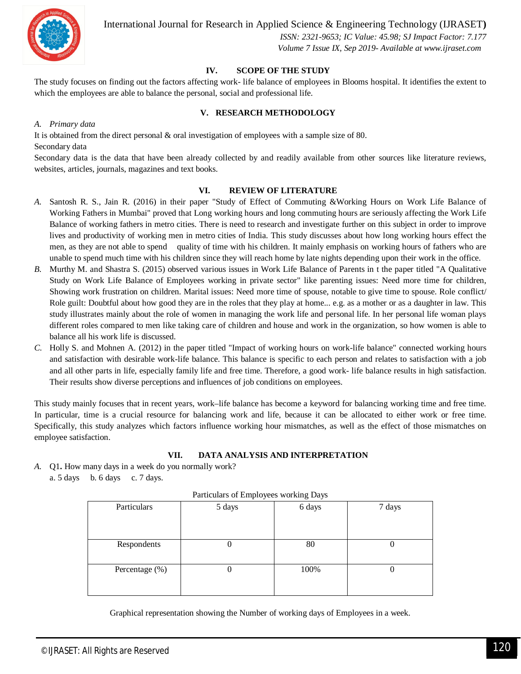

International Journal for Research in Applied Science & Engineering Technology (IJRASET**)**

 *ISSN: 2321-9653; IC Value: 45.98; SJ Impact Factor: 7.177 Volume 7 Issue IX, Sep 2019- Available at www.ijraset.com*

#### **IV. SCOPE OF THE STUDY**

The study focuses on finding out the factors affecting work- life balance of employees in Blooms hospital. It identifies the extent to which the employees are able to balance the personal, social and professional life.

#### **V. RESEARCH METHODOLOGY**

#### *A. Primary data*

It is obtained from the direct personal & oral investigation of employees with a sample size of 80. Secondary data

Secondary data is the data that have been already collected by and readily available from other sources like literature reviews, websites, articles, journals, magazines and text books.

#### **VI. REVIEW OF LITERATURE**

- *A.* Santosh R. S., Jain R. (2016) in their paper "Study of Effect of Commuting &Working Hours on Work Life Balance of Working Fathers in Mumbai" proved that Long working hours and long commuting hours are seriously affecting the Work Life Balance of working fathers in metro cities. There is need to research and investigate further on this subject in order to improve lives and productivity of working men in metro cities of India. This study discusses about how long working hours effect the men, as they are not able to spend quality of time with his children. It mainly emphasis on working hours of fathers who are unable to spend much time with his children since they will reach home by late nights depending upon their work in the office.
- *B.* Murthy M. and Shastra S. (2015) observed various issues in Work Life Balance of Parents in t the paper titled "A Qualitative Study on Work Life Balance of Employees working in private sector" like parenting issues: Need more time for children, Showing work frustration on children. Marital issues: Need more time of spouse, notable to give time to spouse. Role conflict/ Role guilt: Doubtful about how good they are in the roles that they play at home... e.g. as a mother or as a daughter in law. This study illustrates mainly about the role of women in managing the work life and personal life. In her personal life woman plays different roles compared to men like taking care of children and house and work in the organization, so how women is able to balance all his work life is discussed.
- *C.* Holly S. and Mohnen A. (2012) in the paper titled "Impact of working hours on work-life balance" connected working hours and satisfaction with desirable work-life balance. This balance is specific to each person and relates to satisfaction with a job and all other parts in life, especially family life and free time. Therefore, a good work- life balance results in high satisfaction. Their results show diverse perceptions and influences of job conditions on employees.

This study mainly focuses that in recent years, work–life balance has become a keyword for balancing working time and free time. In particular, time is a crucial resource for balancing work and life, because it can be allocated to either work or free time. Specifically, this study analyzes which factors influence working hour mismatches, as well as the effect of those mismatches on employee satisfaction.

#### **VII. DATA ANALYSIS AND INTERPRETATION**

*A.* Q1**.** How many days in a week do you normally work? a. 5 days b. 6 days c. 7 days.

| r arriculars of Employees working Bays |        |        |        |
|----------------------------------------|--------|--------|--------|
| Particulars                            | 5 days | 6 days | 7 days |
|                                        |        |        |        |
|                                        |        |        |        |
| Respondents                            | U      | 80     | U      |
|                                        |        |        |        |
| Percentage (%)                         | U      | 100%   | U      |
|                                        |        |        |        |
|                                        |        |        |        |

Particulars of Employees working Days

Graphical representation showing the Number of working days of Employees in a week.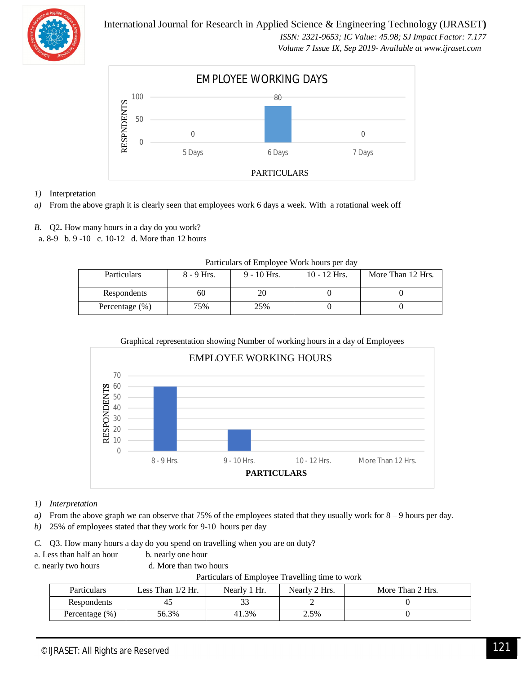

International Journal for Research in Applied Science & Engineering Technology (IJRASET**)**

 *ISSN: 2321-9653; IC Value: 45.98; SJ Impact Factor: 7.177 Volume 7 Issue IX, Sep 2019- Available at www.ijraset.com*



- *1)* Interpretation
- *a)* From the above graph it is clearly seen that employees work 6 days a week. With a rotational week off
- *B.* Q2**.** How many hours in a day do you work?
- a. 8-9 b. 9 -10 c. 10-12 d. More than 12 hours

| I alticulars of Employee Work flours per day |              |               |                |                   |
|----------------------------------------------|--------------|---------------|----------------|-------------------|
| Particulars                                  | $8 - 9$ Hrs. | $9 - 10$ Hrs. | $10 - 12$ Hrs. | More Than 12 Hrs. |
| Respondents                                  | 60           |               |                |                   |
| Percentage $(\% )$                           | 75%          | 25%           |                |                   |

Particulars of Employee Work hours per day



- *1) Interpretation*
- *a)* From the above graph we can observe that 75% of the employees stated that they usually work for 8 9 hours per day.
- *b)* 25% of employees stated that they work for 9-10 hours per day

*C.* Q3. How many hours a day do you spend on travelling when you are on duty?

- a. Less than half an hour b. nearly one hour
- 

c. nearly two hours d. More than two hours

Particulars of Employee Travelling time to work

| <b>Particulars</b> | Less Than $1/2$ Hr. | Nearly 1 Hr. | Nearly 2 Hrs. | More Than 2 Hrs. |
|--------------------|---------------------|--------------|---------------|------------------|
| Respondents        |                     | ັ            |               |                  |
| Percentage $(\% )$ | 56.3%               | 41.3%        | 2.5%          |                  |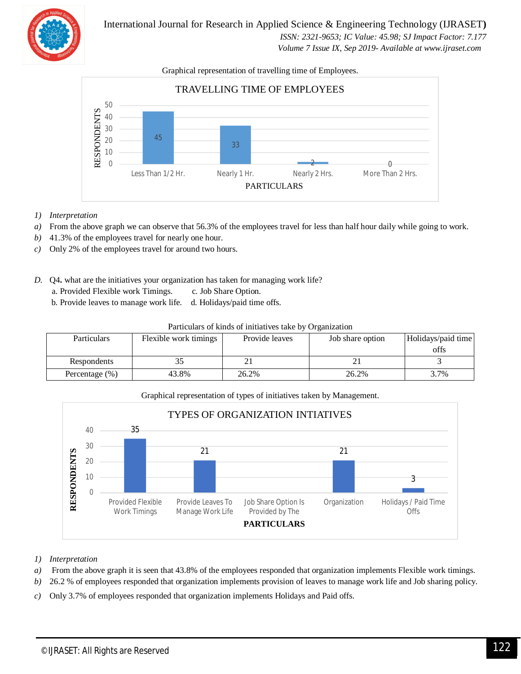

International Journal for Research in Applied Science & Engineering Technology (IJRASET**)**  *ISSN: 2321-9653; IC Value: 45.98; SJ Impact Factor: 7.177 Volume 7 Issue IX, Sep 2019- Available at www.ijraset.com*

#### Graphical representation of travelling time of Employees.



- *1) Interpretation*
- *a*) From the above graph we can observe that 56.3% of the employees travel for less than half hour daily while going to work.
- *b)* 41.3% of the employees travel for nearly one hour.
- *c)* Only 2% of the employees travel for around two hours.
- *D.* Q4**.** what are the initiatives your organization has taken for managing work life?
	- a. Provided Flexible work Timings. c. Job Share Option.
	- b. Provide leaves to manage work life. d. Holidays/paid time offs.

| Particulars of kinds of initiatives take by Organization |  |
|----------------------------------------------------------|--|
|----------------------------------------------------------|--|

| <b>Particulars</b> | Flexible work timings | Provide leaves | Job share option | Holidays/paid time<br>offs |
|--------------------|-----------------------|----------------|------------------|----------------------------|
| Respondents        |                       |                |                  |                            |
| Percentage $(\% )$ | 43.8%                 | 26.2%          | 26.2%            | 3.7%                       |





- *1) Interpretation*
- *a)* From the above graph it is seen that 43.8% of the employees responded that organization implements Flexible work timings.
- *b)* 26.2 % of employees responded that organization implements provision of leaves to manage work life and Job sharing policy.
- *c)* Only 3.7% of employees responded that organization implements Holidays and Paid offs.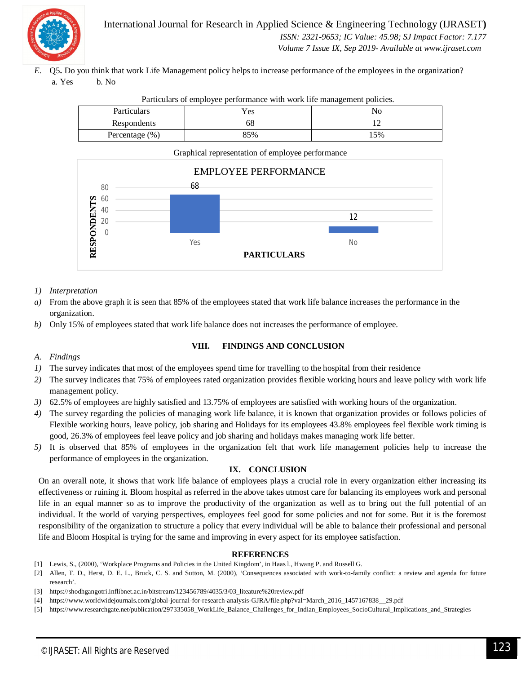

International Journal for Research in Applied Science & Engineering Technology (IJRASET**)**  *ISSN: 2321-9653; IC Value: 45.98; SJ Impact Factor: 7.177 Volume 7 Issue IX, Sep 2019- Available at www.ijraset.com*

*E.* Q5**.** Do you think that work Life Management policy helps to increase performance of the employees in the organization? a. Yes b. No

| Particulars    | Yes | NO  |
|----------------|-----|-----|
| Respondents    | ნბ  |     |
| Percentage (%) | 85% | 15% |





#### *1) Interpretation*

- *a)* From the above graph it is seen that 85% of the employees stated that work life balance increases the performance in the organization.
- *b)* Only 15% of employees stated that work life balance does not increases the performance of employee.

#### **VIII. FINDINGS AND CONCLUSION**

*A. Findings*

- *1*) The survey indicates that most of the employees spend time for travelling to the hospital from their residence
- *2)* The survey indicates that 75% of employees rated organization provides flexible working hours and leave policy with work life management policy.
- *3)* 62.5% of employees are highly satisfied and 13.75% of employees are satisfied with working hours of the organization.
- *4)* The survey regarding the policies of managing work life balance, it is known that organization provides or follows policies of Flexible working hours, leave policy, job sharing and Holidays for its employees 43.8% employees feel flexible work timing is good, 26.3% of employees feel leave policy and job sharing and holidays makes managing work life better.
- *5)* It is observed that 85% of employees in the organization felt that work life management policies help to increase the performance of employees in the organization.

#### **IX. CONCLUSION**

On an overall note, it shows that work life balance of employees plays a crucial role in every organization either increasing its effectiveness or ruining it. Bloom hospital as referred in the above takes utmost care for balancing its employees work and personal life in an equal manner so as to improve the productivity of the organization as well as to bring out the full potential of an individual. It the world of varying perspectives, employees feel good for some policies and not for some. But it is the foremost responsibility of the organization to structure a policy that every individual will be able to balance their professional and personal life and Bloom Hospital is trying for the same and improving in every aspect for its employee satisfaction.

#### **REFERENCES**

- [1] Lewis, S., (2000), 'Workplace Programs and Policies in the United Kingdom', in Haas l., Hwang P. and Russell G.
- [2] Allen, T. D., Herst, D. E. L., Bruck, C. S. and Sutton, M. (2000), 'Consequences associated with work-to-family conflict: a review and agenda for future research'.
- [3] https://shodhgangotri.inflibnet.ac.in/bitstream/123456789/4035/3/03\_liteature%20review.pdf
- [4] https://www.worldwidejournals.com/global-journal-for-research-analysis-GJRA/file.php?val=March\_2016\_1457167838\_\_29.pdf
- [5] https://www.researchgate.net/publication/297335058\_WorkLife\_Balance\_Challenges\_for\_Indian\_Employees\_SocioCultural\_Implications\_and\_Strategies